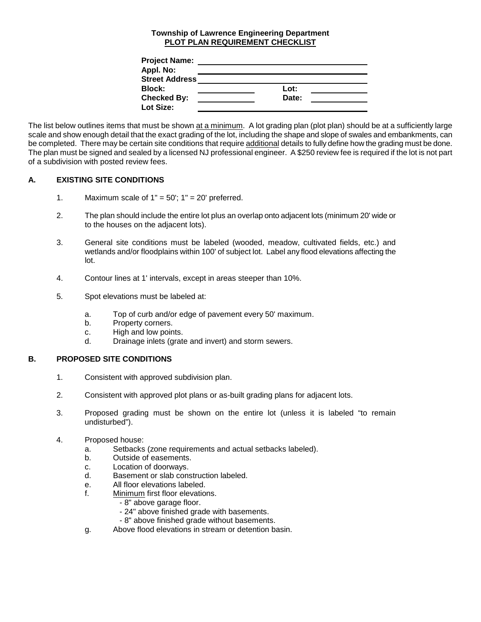## **Township of Lawrence Engineering Department PLOT PLAN REQUIREMENT CHECKLIST**

| <b>Project Name:</b>  |       |
|-----------------------|-------|
| Appl. No:             |       |
| <b>Street Address</b> |       |
| <b>Block:</b>         | Lot:  |
| <b>Checked By:</b>    | Date: |
| Lot Size:             |       |

The list below outlines items that must be shown at a minimum. A lot grading plan (plot plan) should be at a sufficiently large scale and show enough detail that the exact grading of the lot, including the shape and slope of swales and embankments, can be completed. There may be certain site conditions that require additional details to fully define how the grading must be done. The plan must be signed and sealed by a licensed NJ professional engineer. A \$250 review fee is required if the lot is not part of a subdivision with posted review fees.

## **A. EXISTING SITE CONDITIONS**

- 1. Maximum scale of  $1" = 50'$ ;  $1" = 20'$  preferred.
- 2. The plan should include the entire lot plus an overlap onto adjacent lots (minimum 20' wide or to the houses on the adjacent lots).
- 3. General site conditions must be labeled (wooded, meadow, cultivated fields, etc.) and wetlands and/or floodplains within 100' of subject lot. Label any flood elevations affecting the lot.
- 4. Contour lines at 1' intervals, except in areas steeper than 10%.
- 5. Spot elevations must be labeled at:
	- a. Top of curb and/or edge of pavement every 50' maximum.
	- b. Property corners.
	- c. High and low points.
	- d. Drainage inlets (grate and invert) and storm sewers.

## **B. PROPOSED SITE CONDITIONS**

- 1. Consistent with approved subdivision plan.
- 2. Consistent with approved plot plans or as-built grading plans for adjacent lots.
- 3. Proposed grading must be shown on the entire lot (unless it is labeled "to remain undisturbed").
- 4. Proposed house:
	- a. Setbacks (zone requirements and actual setbacks labeled).
	- b. Outside of easements.
	- c. Location of doorways.<br>d. Basement or slab cons
	- Basement or slab construction labeled.
	- e. All floor elevations labeled.
	- f. Minimum first floor elevations.
		- 8" above garage floor.
		- 24" above finished grade with basements.
		- 8" above finished grade without basements.
	- g. Above flood elevations in stream or detention basin.